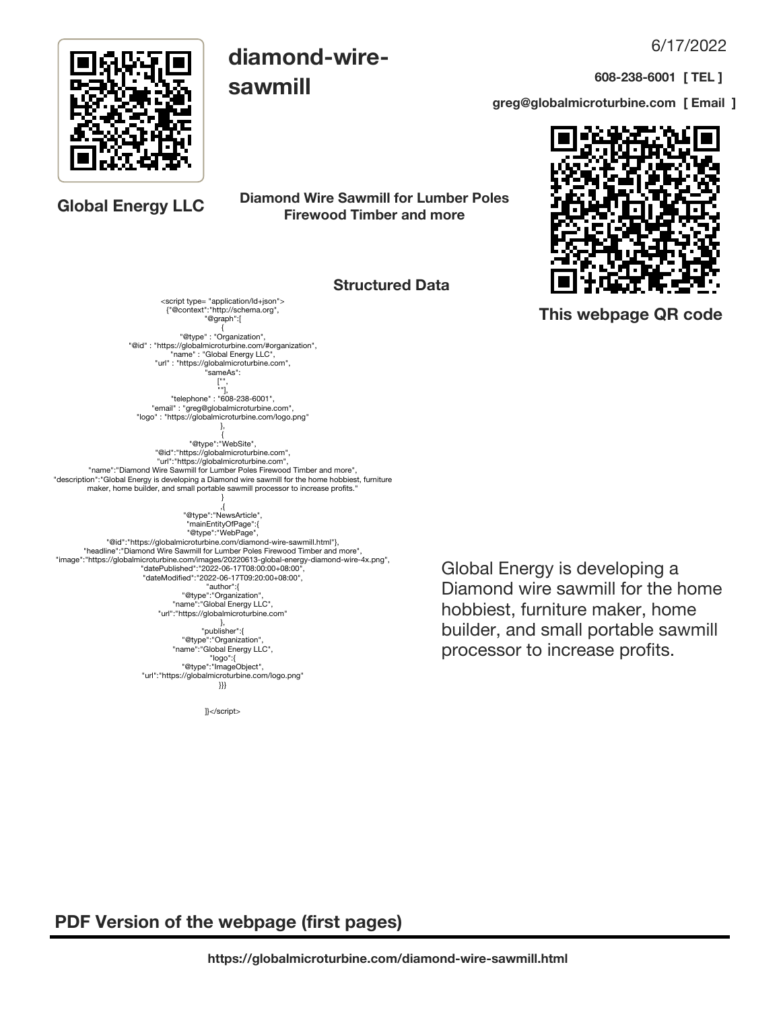6/17/2022

**greg@globalmicroturbine.com [ Email ]**



**diamond-wire-**

 **PDF Version of the webpage (first pages)**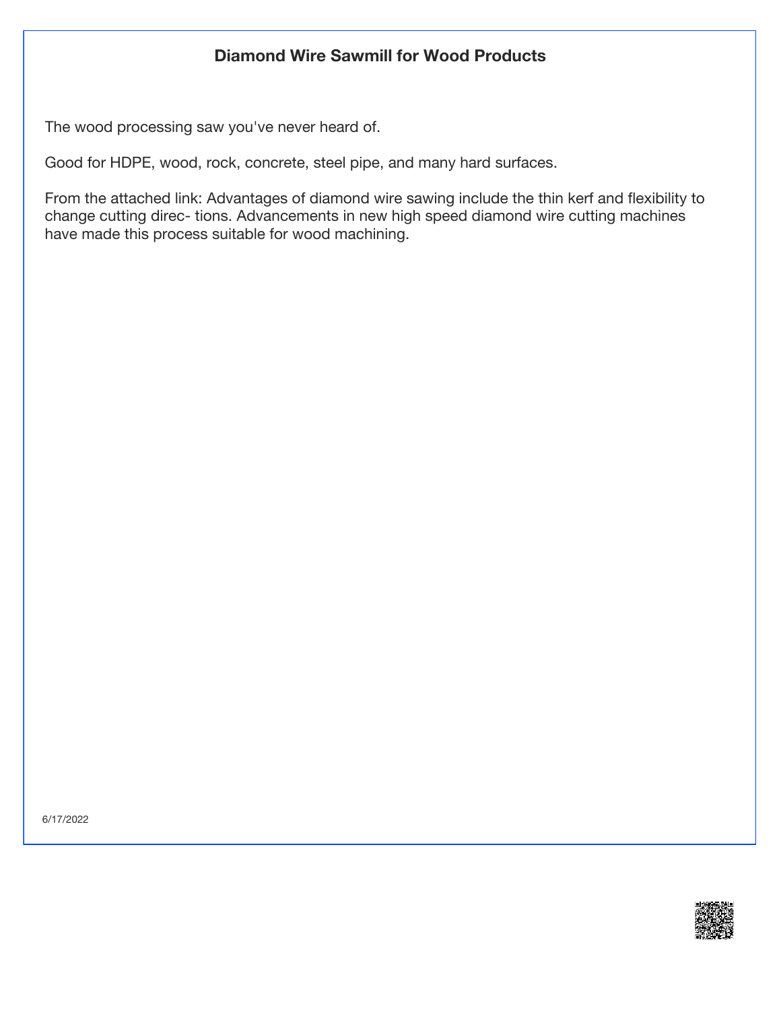# **Diamond Wire Sawmill for Wood Products**

The wood processing saw you've never heard of.

Good for HDPE, wood, rock, concrete, steel pipe, and many hard surfaces.

From the attached link: Advantages of diamond wire sawing include the thin kerf and flexibility to change cutting direc- tions. Advancements in new high speed diamond wire cutting machines have made this process suitable for wood machining.

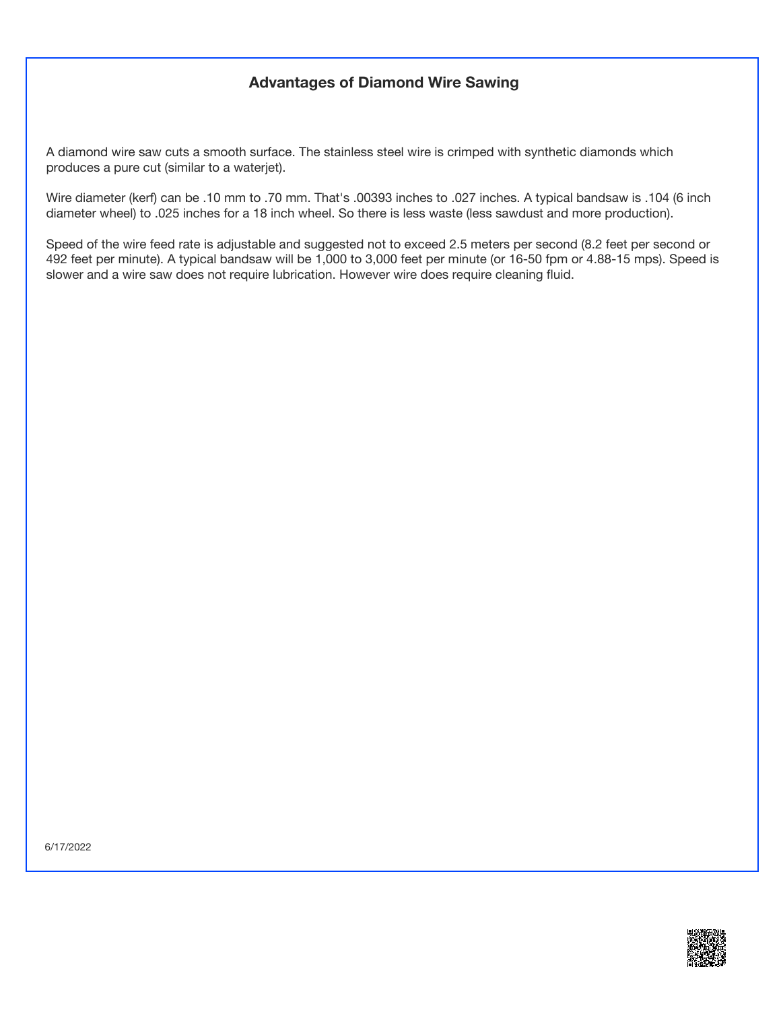#### **Advantages of Diamond Wire Sawing**

A diamond wire saw cuts a smooth surface. The stainless steel wire is crimped with synthetic diamonds which produces a pure cut (similar to a waterjet).

Wire diameter (kerf) can be .10 mm to .70 mm. That's .00393 inches to .027 inches. A typical bandsaw is .104 (6 inch diameter wheel) to .025 inches for a 18 inch wheel. So there is less waste (less sawdust and more production).

Speed of the wire feed rate is adjustable and suggested not to exceed 2.5 meters per second (8.2 feet per second or 492 feet per minute). A typical bandsaw will be 1,000 to 3,000 feet per minute (or 16-50 fpm or 4.88-15 mps). Speed is slower and a wire saw does not require lubrication. However wire does require cleaning fluid.

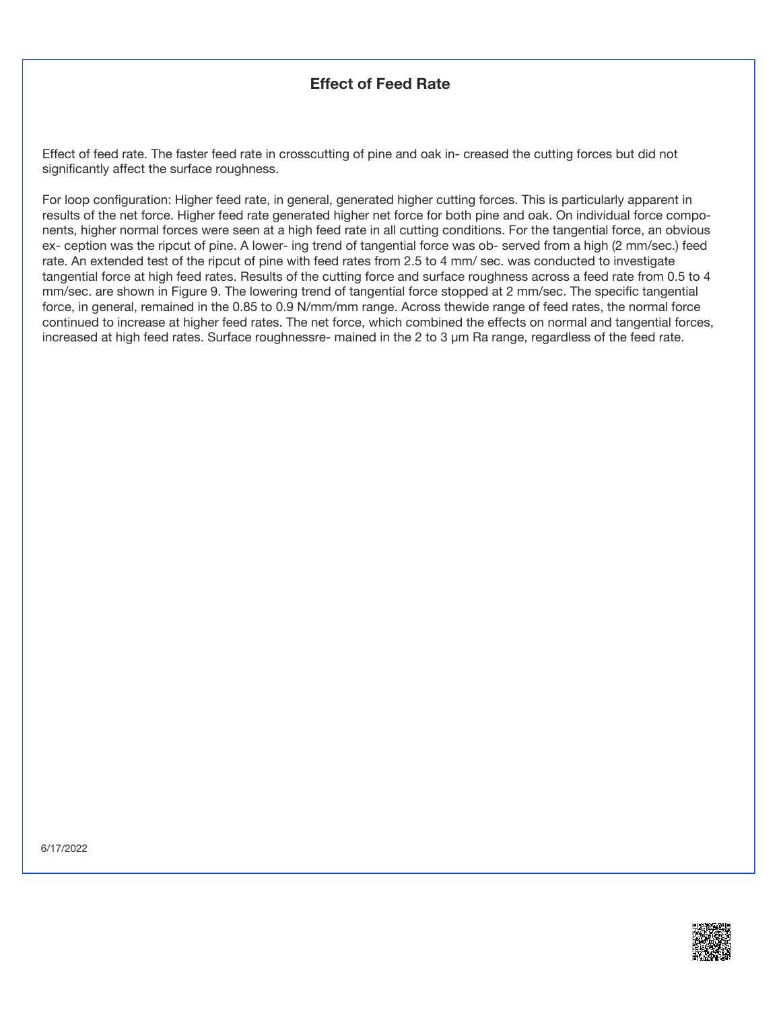### **Effect of Feed Rate**

Effect of feed rate. The faster feed rate in crosscutting of pine and oak in- creased the cutting forces but did not significantly affect the surface roughness.

For loop configuration: Higher feed rate, in general, generated higher cutting forces. This is particularly apparent in results of the net force. Higher feed rate generated higher net force for both pine and oak. On individual force components, higher normal forces were seen at a high feed rate in all cutting conditions. For the tangential force, an obvious ex- ception was the ripcut of pine. A lower- ing trend of tangential force was ob- served from a high (2 mm/sec.) feed rate. An extended test of the ripcut of pine with feed rates from 2.5 to 4 mm/ sec. was conducted to investigate tangential force at high feed rates. Results of the cutting force and surface roughness across a feed rate from 0.5 to 4 mm/sec. are shown in Figure 9. The lowering trend of tangential force stopped at 2 mm/sec. The specific tangential force, in general, remained in the 0.85 to 0.9 N/mm/mm range. Across thewide range of feed rates, the normal force continued to increase at higher feed rates. The net force, which combined the effects on normal and tangential forces, increased at high feed rates. Surface roughnessre- mained in the 2 to 3 μm Ra range, regardless of the feed rate.

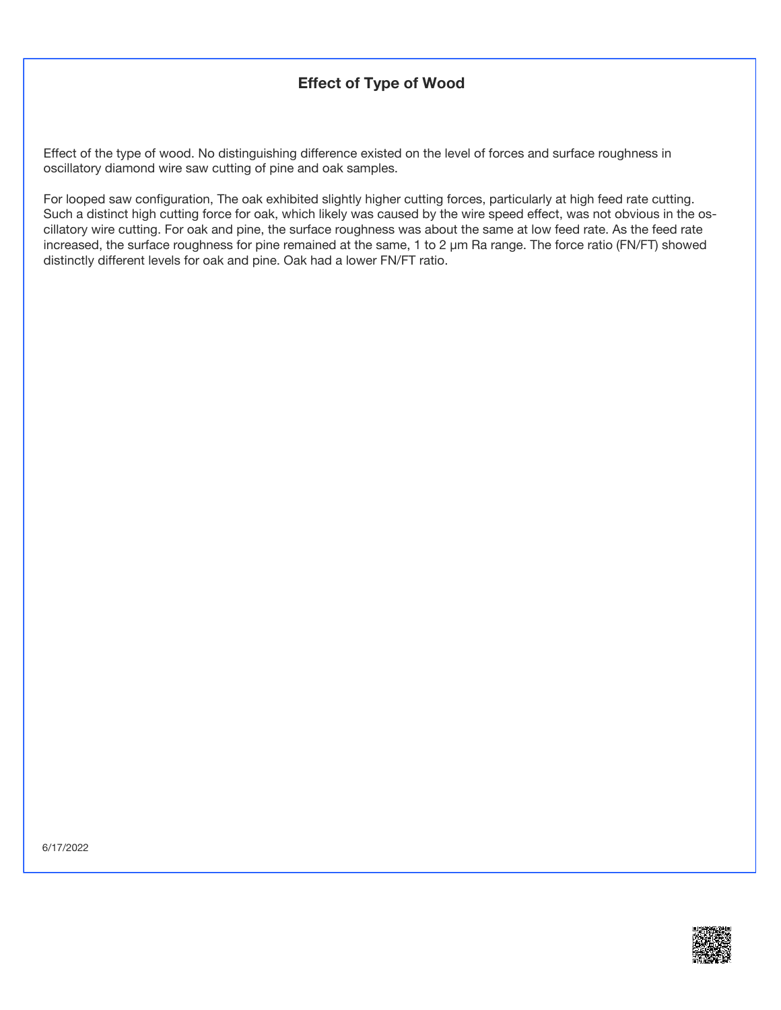## **Effect of Type of Wood**

Effect of the type of wood. No distinguishing difference existed on the level of forces and surface roughness in oscillatory diamond wire saw cutting of pine and oak samples.

For looped saw configuration, The oak exhibited slightly higher cutting forces, particularly at high feed rate cutting. Such a distinct high cutting force for oak, which likely was caused by the wire speed effect, was not obvious in the oscillatory wire cutting. For oak and pine, the surface roughness was about the same at low feed rate. As the feed rate increased, the surface roughness for pine remained at the same, 1 to 2 μm Ra range. The force ratio (FN/FT) showed distinctly different levels for oak and pine. Oak had a lower FN/FT ratio.

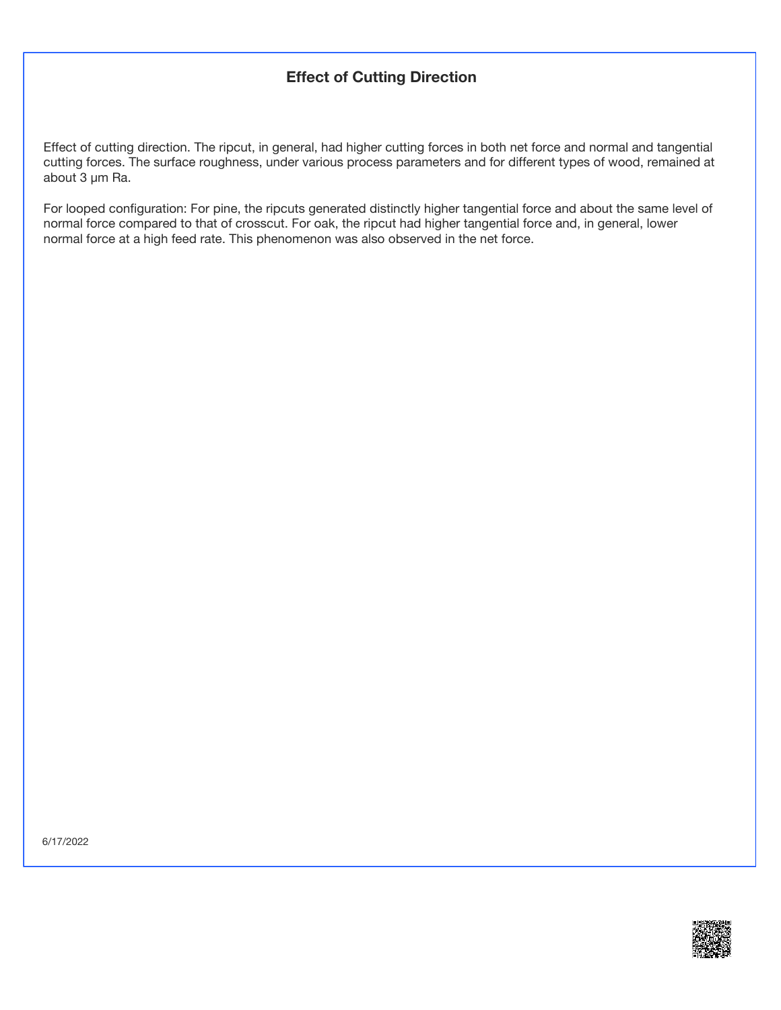#### **Effect of Cutting Direction**

Effect of cutting direction. The ripcut, in general, had higher cutting forces in both net force and normal and tangential cutting forces. The surface roughness, under various process parameters and for different types of wood, remained at about 3 μm Ra.

For looped configuration: For pine, the ripcuts generated distinctly higher tangential force and about the same level of normal force compared to that of crosscut. For oak, the ripcut had higher tangential force and, in general, lower normal force at a high feed rate. This phenomenon was also observed in the net force.

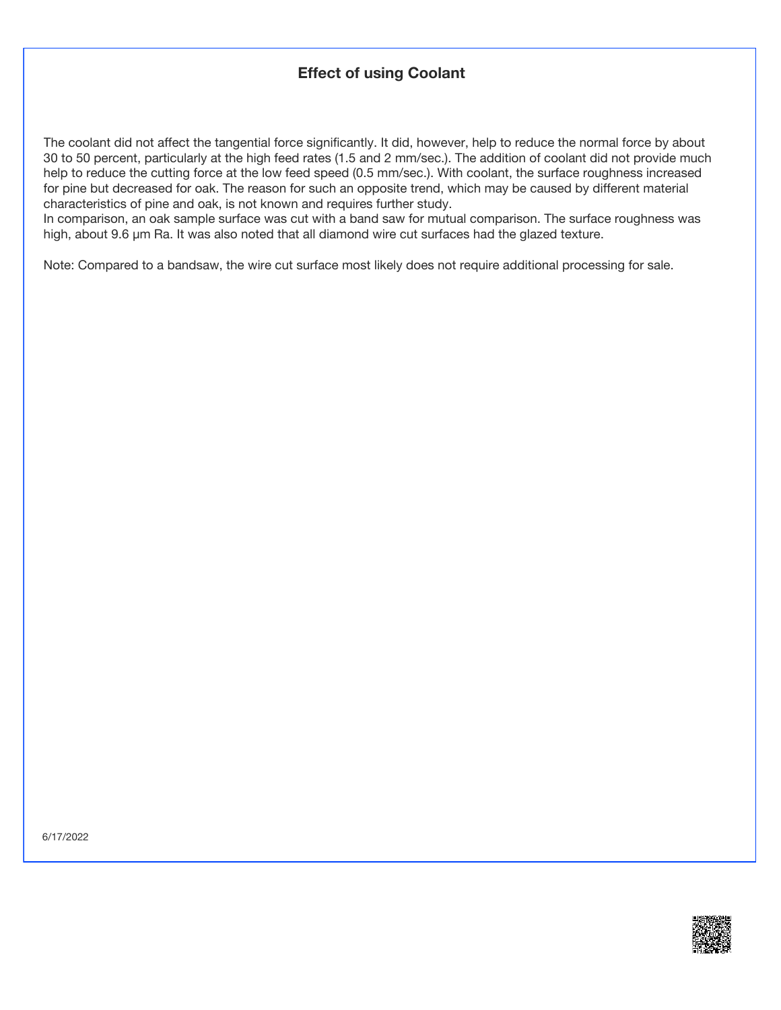### **Effect of using Coolant**

The coolant did not affect the tangential force significantly. It did, however, help to reduce the normal force by about 30 to 50 percent, particularly at the high feed rates (1.5 and 2 mm/sec.). The addition of coolant did not provide much help to reduce the cutting force at the low feed speed (0.5 mm/sec.). With coolant, the surface roughness increased for pine but decreased for oak. The reason for such an opposite trend, which may be caused by different material characteristics of pine and oak, is not known and requires further study.

In comparison, an oak sample surface was cut with a band saw for mutual comparison. The surface roughness was high, about 9.6 μm Ra. It was also noted that all diamond wire cut surfaces had the glazed texture.

Note: Compared to a bandsaw, the wire cut surface most likely does not require additional processing for sale.

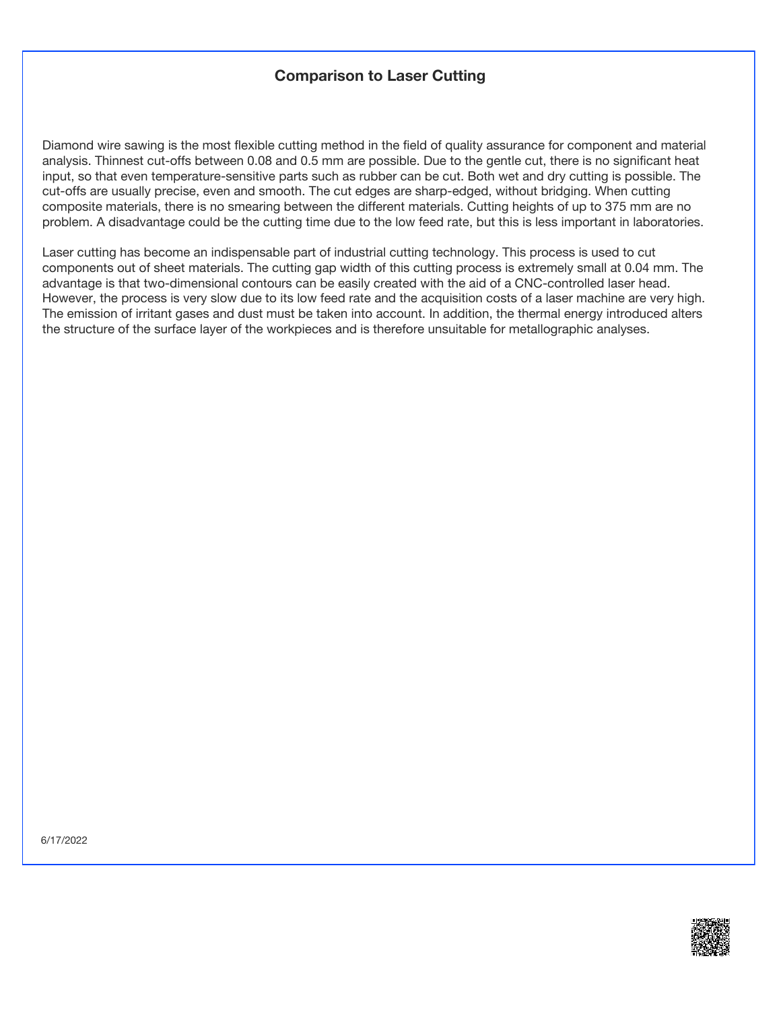#### **Comparison to Laser Cutting**

Diamond wire sawing is the most flexible cutting method in the field of quality assurance for component and material analysis. Thinnest cut-offs between 0.08 and 0.5 mm are possible. Due to the gentle cut, there is no significant heat input, so that even temperature-sensitive parts such as rubber can be cut. Both wet and dry cutting is possible. The cut-offs are usually precise, even and smooth. The cut edges are sharp-edged, without bridging. When cutting composite materials, there is no smearing between the different materials. Cutting heights of up to 375 mm are no problem. A disadvantage could be the cutting time due to the low feed rate, but this is less important in laboratories.

Laser cutting has become an indispensable part of industrial cutting technology. This process is used to cut components out of sheet materials. The cutting gap width of this cutting process is extremely small at 0.04 mm. The advantage is that two-dimensional contours can be easily created with the aid of a CNC-controlled laser head. However, the process is very slow due to its low feed rate and the acquisition costs of a laser machine are very high. The emission of irritant gases and dust must be taken into account. In addition, the thermal energy introduced alters the structure of the surface layer of the workpieces and is therefore unsuitable for metallographic analyses.

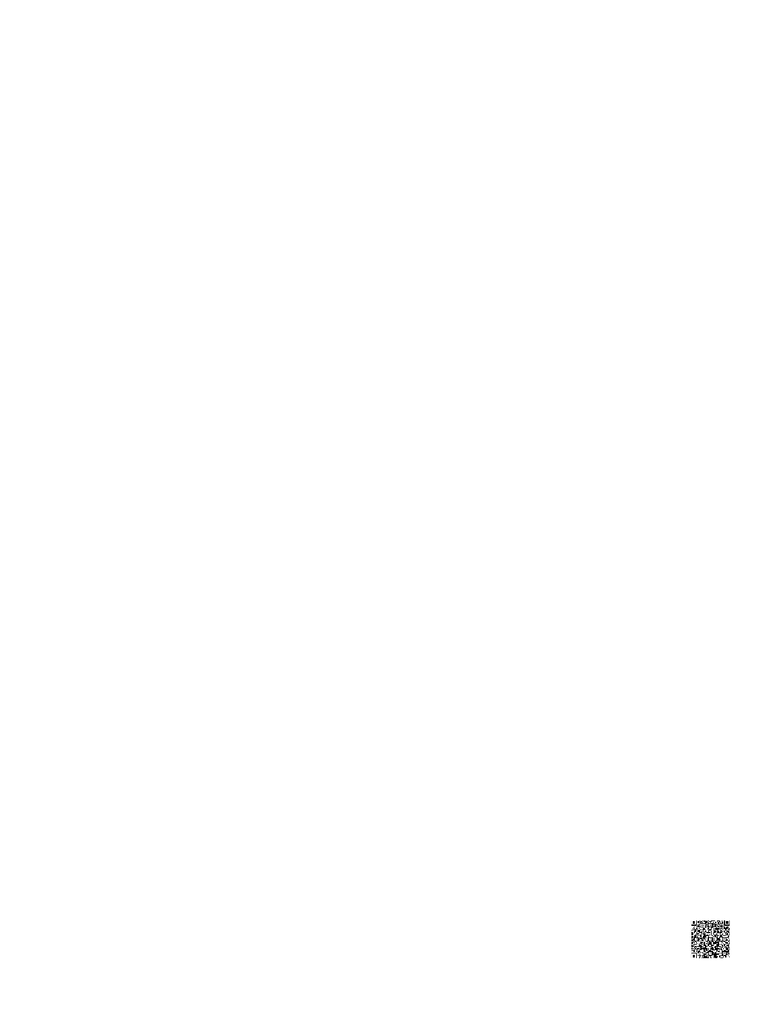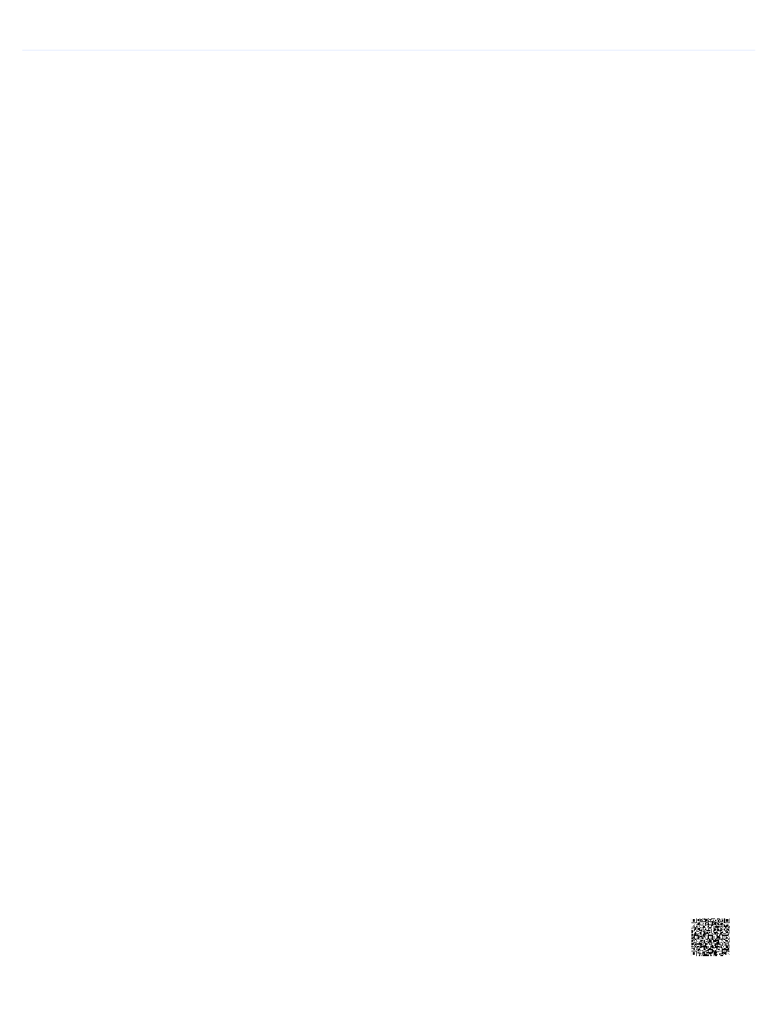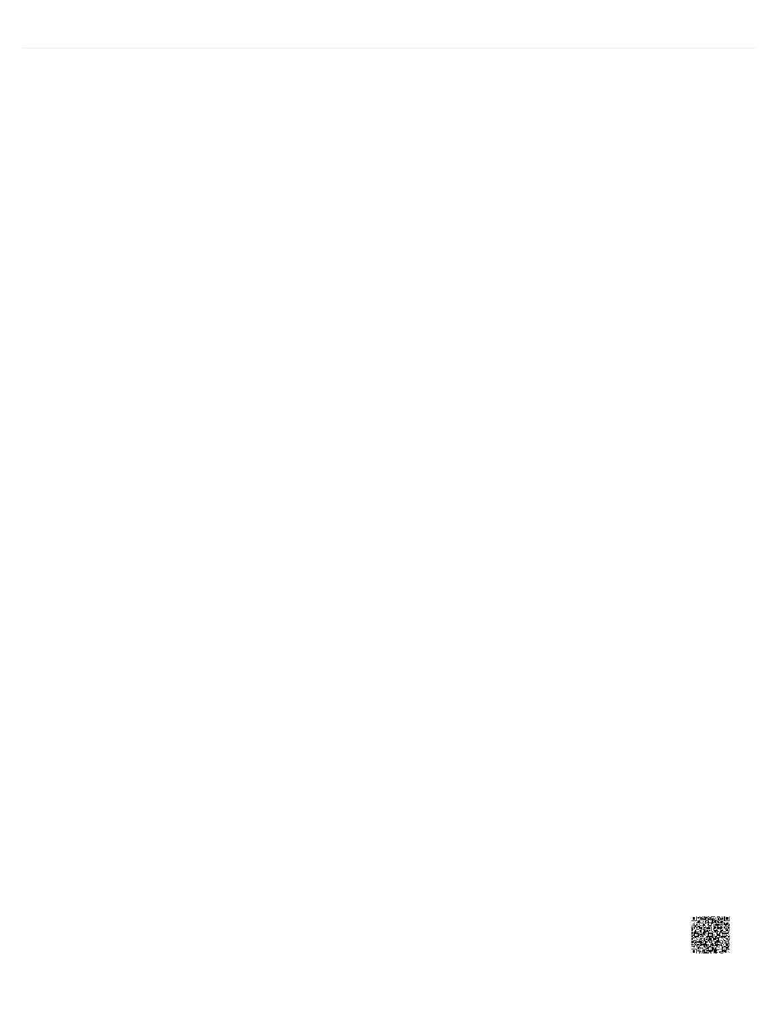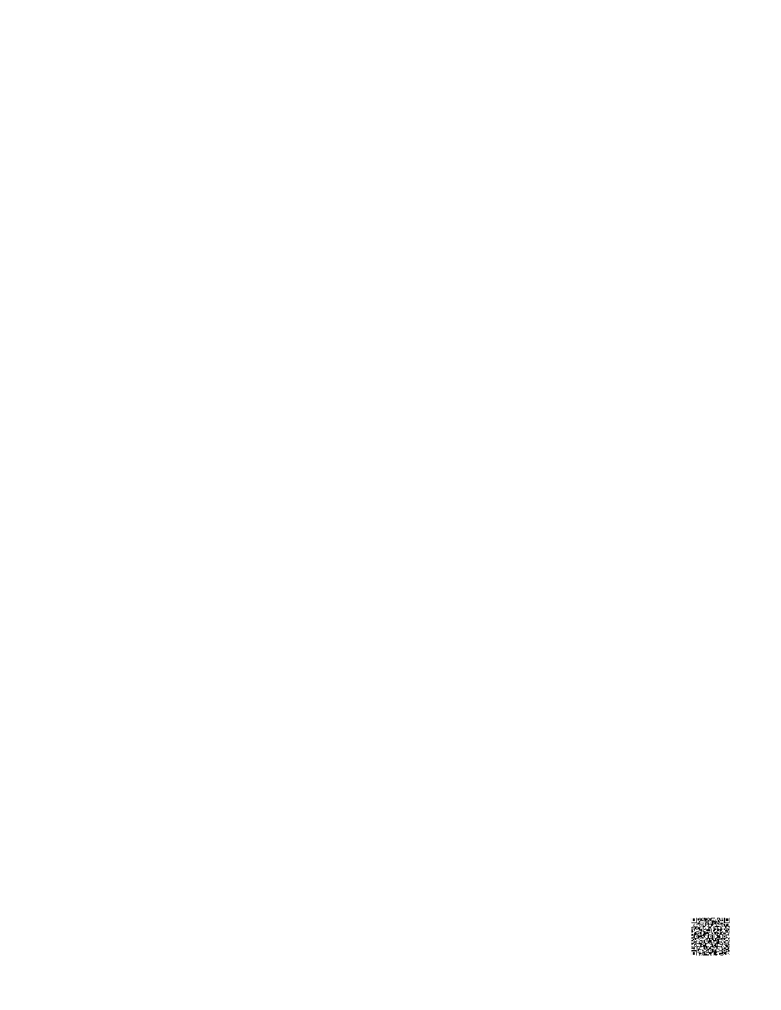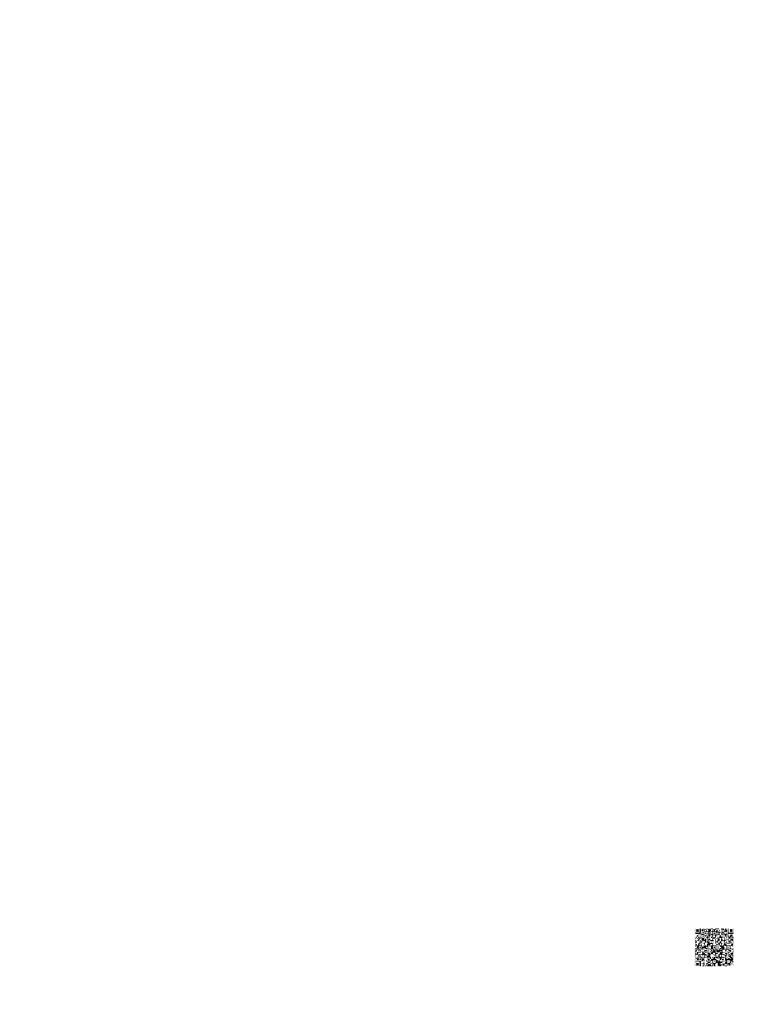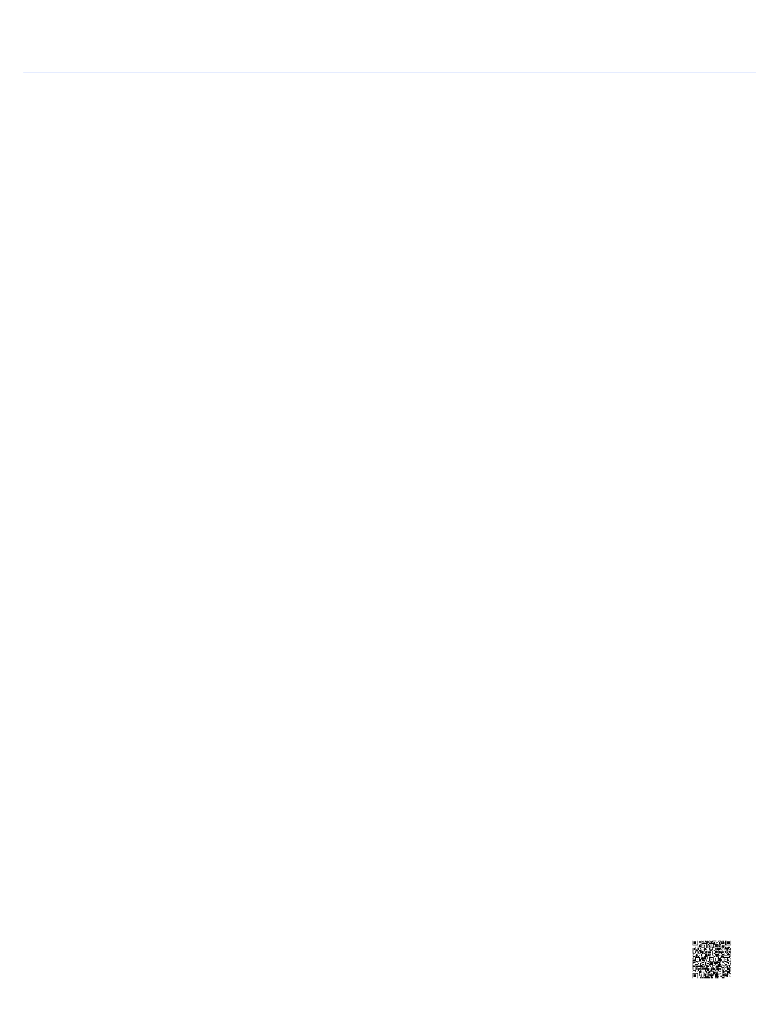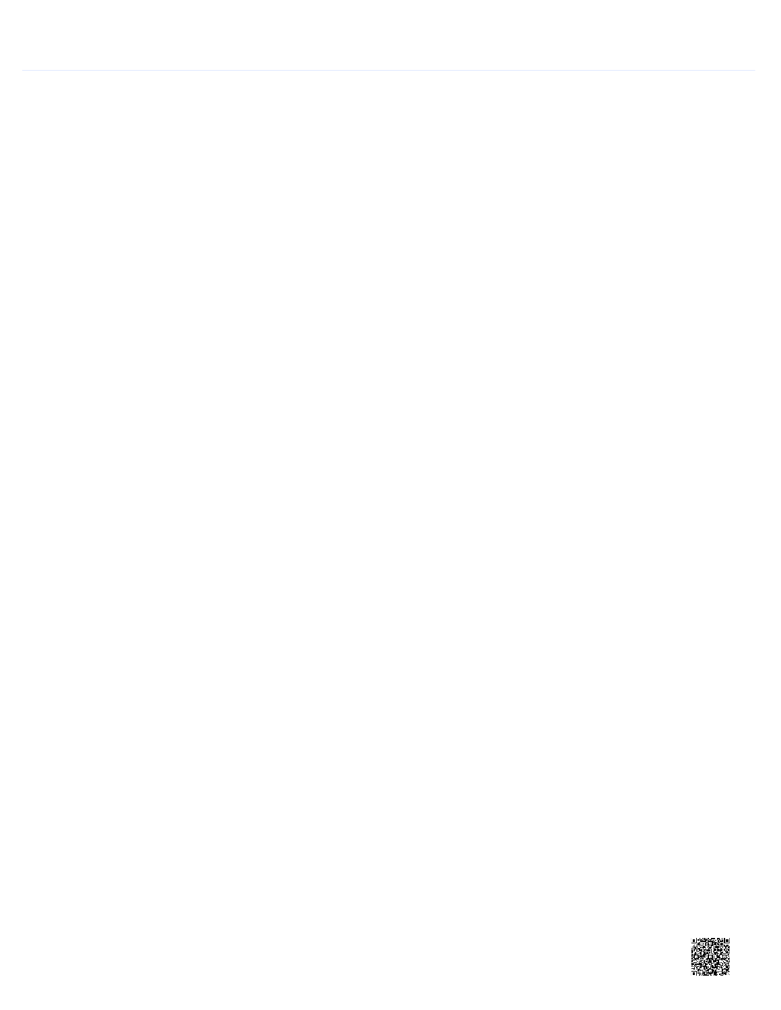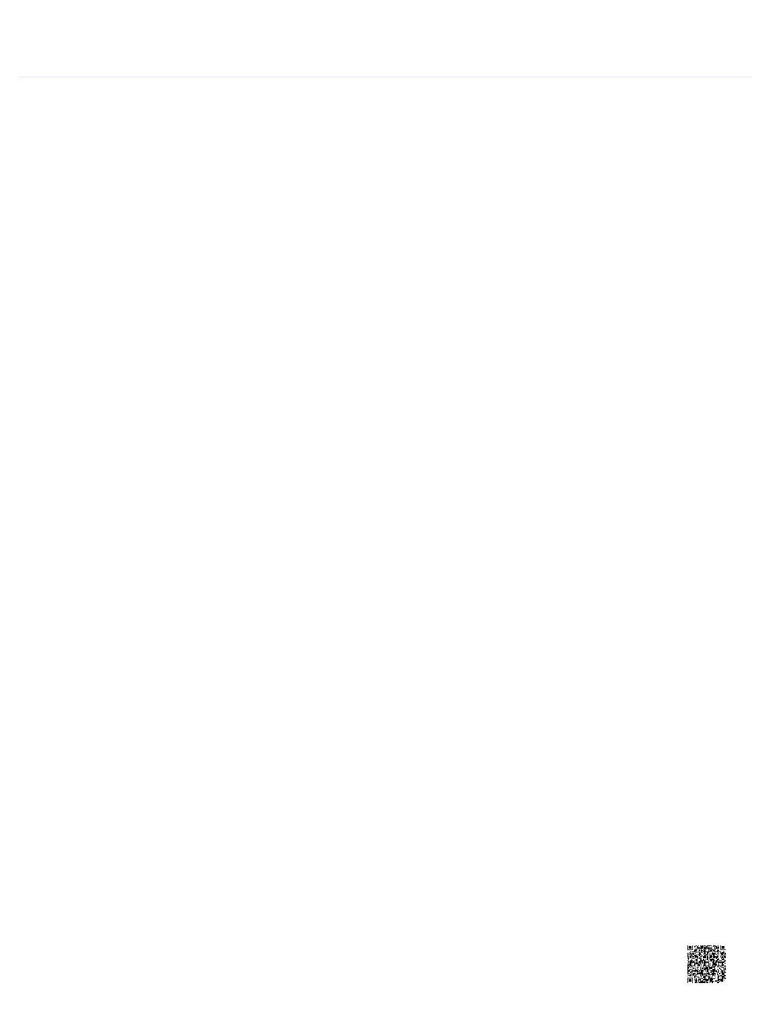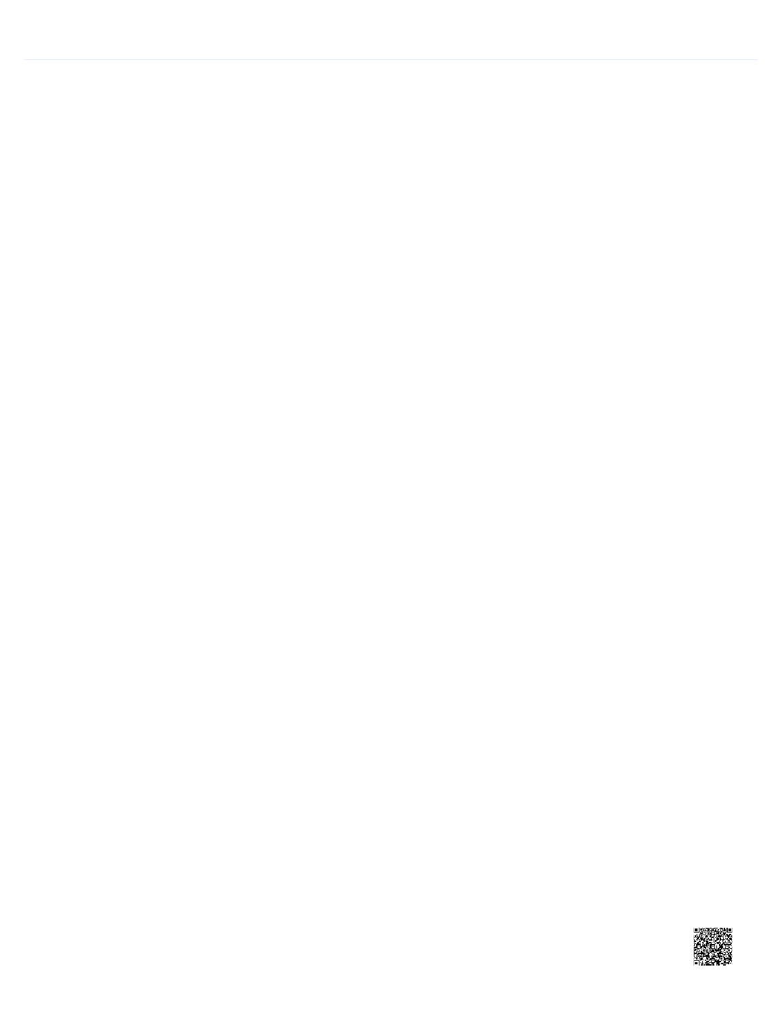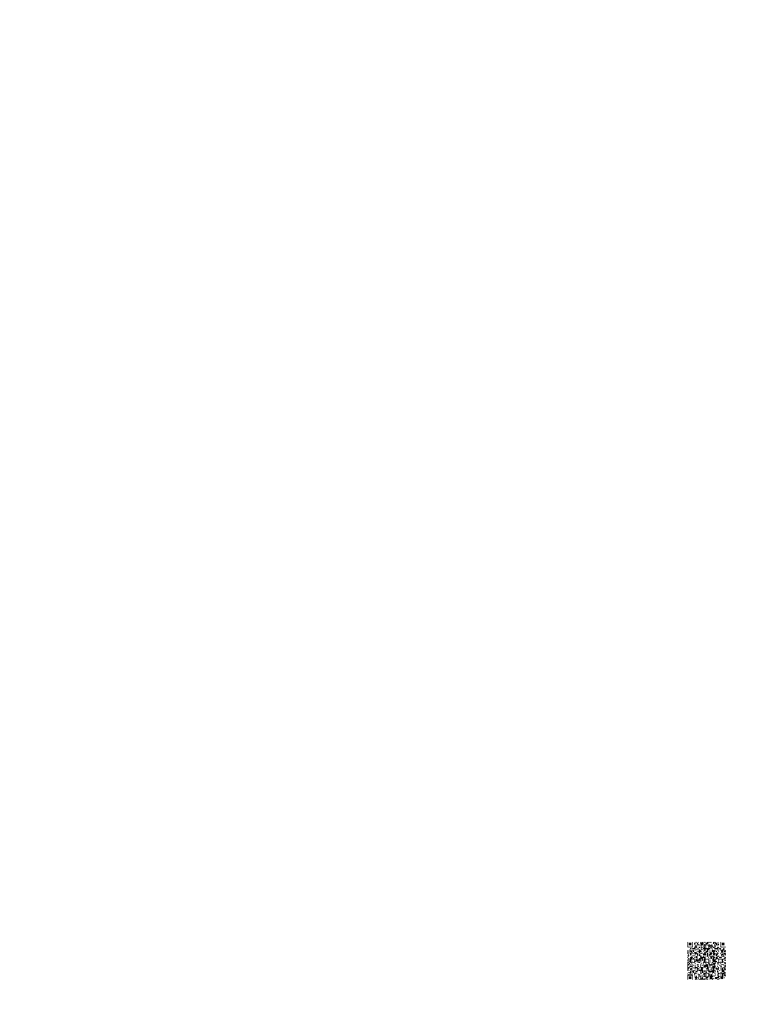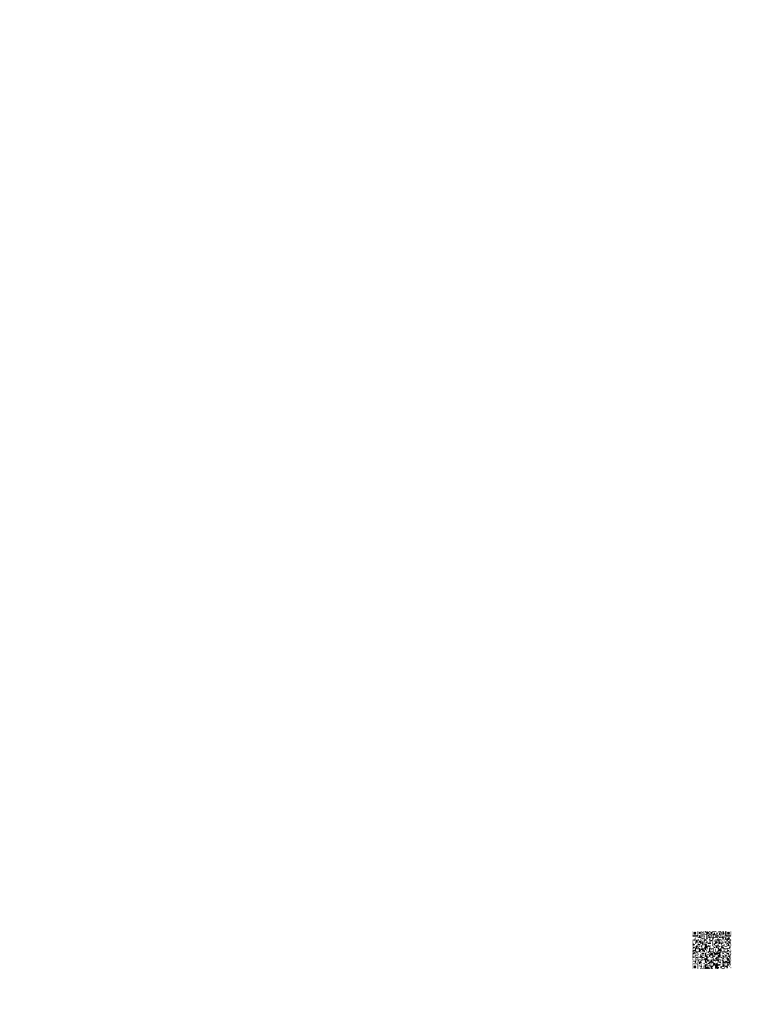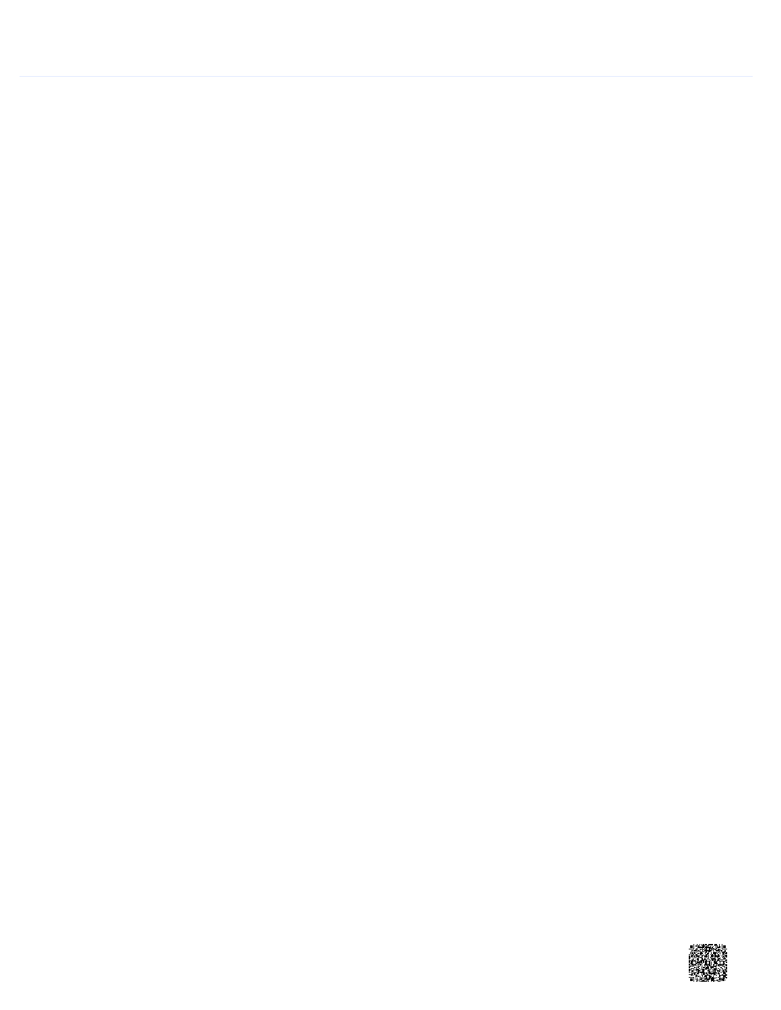